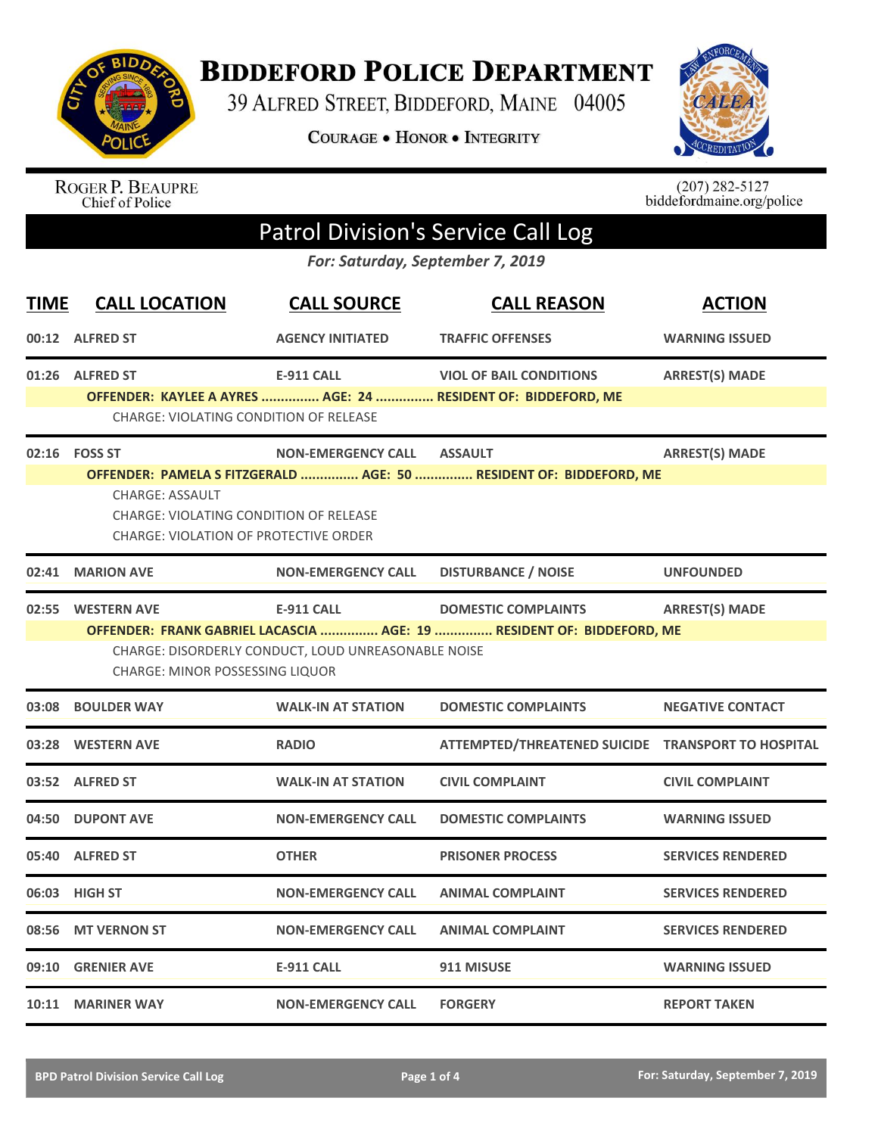

**BIDDEFORD POLICE DEPARTMENT** 

39 ALFRED STREET, BIDDEFORD, MAINE 04005

**COURAGE . HONOR . INTEGRITY** 



ROGER P. BEAUPRE<br>Chief of Police

 $(207)$  282-5127<br>biddefordmaine.org/police

## Patrol Division's Service Call Log

*For: Saturday, September 7, 2019*

| <b>TIME</b> | <b>CALL LOCATION</b>                                                                                                                                                                          | <b>CALL SOURCE</b>                                  | <b>CALL REASON</b>                                                    | <b>ACTION</b>            |  |  |
|-------------|-----------------------------------------------------------------------------------------------------------------------------------------------------------------------------------------------|-----------------------------------------------------|-----------------------------------------------------------------------|--------------------------|--|--|
|             | 00:12 ALFRED ST                                                                                                                                                                               | <b>AGENCY INITIATED</b>                             | <b>TRAFFIC OFFENSES</b>                                               | <b>WARNING ISSUED</b>    |  |  |
|             | 01:26 ALFRED ST                                                                                                                                                                               | <b>E-911 CALL</b>                                   | <b>VIOL OF BAIL CONDITIONS</b>                                        | <b>ARREST(S) MADE</b>    |  |  |
|             | <b>CHARGE: VIOLATING CONDITION OF RELEASE</b>                                                                                                                                                 |                                                     | OFFENDER: KAYLEE A AYRES  AGE: 24  RESIDENT OF: BIDDEFORD, ME         |                          |  |  |
|             | 02:16    FOSS ST                                                                                                                                                                              | <b>NON-EMERGENCY CALL</b>                           | <b>ASSAULT</b>                                                        | <b>ARREST(S) MADE</b>    |  |  |
|             | OFFENDER: PAMELA S FITZGERALD  AGE: 50  RESIDENT OF: BIDDEFORD, ME<br><b>CHARGE: ASSAULT</b><br><b>CHARGE: VIOLATING CONDITION OF RELEASE</b><br><b>CHARGE: VIOLATION OF PROTECTIVE ORDER</b> |                                                     |                                                                       |                          |  |  |
| 02:41       | <b>MARION AVE</b>                                                                                                                                                                             | <b>NON-EMERGENCY CALL</b>                           | <b>DISTURBANCE / NOISE</b>                                            | <b>UNFOUNDED</b>         |  |  |
|             | 02:55 WESTERN AVE                                                                                                                                                                             | <b>E-911 CALL</b>                                   | <b>DOMESTIC COMPLAINTS</b>                                            | <b>ARREST(S) MADE</b>    |  |  |
|             | <b>CHARGE: MINOR POSSESSING LIQUOR</b>                                                                                                                                                        | CHARGE: DISORDERLY CONDUCT, LOUD UNREASONABLE NOISE | OFFENDER: FRANK GABRIEL LACASCIA  AGE: 19  RESIDENT OF: BIDDEFORD, ME |                          |  |  |
| 03:08       | <b>BOULDER WAY</b>                                                                                                                                                                            | <b>WALK-IN AT STATION</b>                           | <b>DOMESTIC COMPLAINTS</b>                                            | <b>NEGATIVE CONTACT</b>  |  |  |
|             | 03:28 WESTERN AVE                                                                                                                                                                             | <b>RADIO</b>                                        | ATTEMPTED/THREATENED SUICIDE TRANSPORT TO HOSPITAL                    |                          |  |  |
|             | 03:52 ALFRED ST                                                                                                                                                                               | <b>WALK-IN AT STATION</b>                           | <b>CIVIL COMPLAINT</b>                                                | <b>CIVIL COMPLAINT</b>   |  |  |
| 04:50       | <b>DUPONT AVE</b>                                                                                                                                                                             | <b>NON-EMERGENCY CALL</b>                           | <b>DOMESTIC COMPLAINTS</b>                                            | <b>WARNING ISSUED</b>    |  |  |
|             | 05:40 ALFRED ST                                                                                                                                                                               | <b>OTHER</b>                                        | <b>PRISONER PROCESS</b>                                               | <b>SERVICES RENDERED</b> |  |  |
|             | 06:03 HIGH ST                                                                                                                                                                                 | <b>NON-EMERGENCY CALL</b>                           | <b>ANIMAL COMPLAINT</b>                                               | <b>SERVICES RENDERED</b> |  |  |
|             | 08:56 MT VERNON ST                                                                                                                                                                            | <b>NON-EMERGENCY CALL</b>                           | <b>ANIMAL COMPLAINT</b>                                               | <b>SERVICES RENDERED</b> |  |  |
|             | 09:10 GRENIER AVE                                                                                                                                                                             | <b>E-911 CALL</b>                                   | 911 MISUSE                                                            | <b>WARNING ISSUED</b>    |  |  |
|             | 10:11 MARINER WAY                                                                                                                                                                             | <b>NON-EMERGENCY CALL</b>                           | <b>FORGERY</b>                                                        | <b>REPORT TAKEN</b>      |  |  |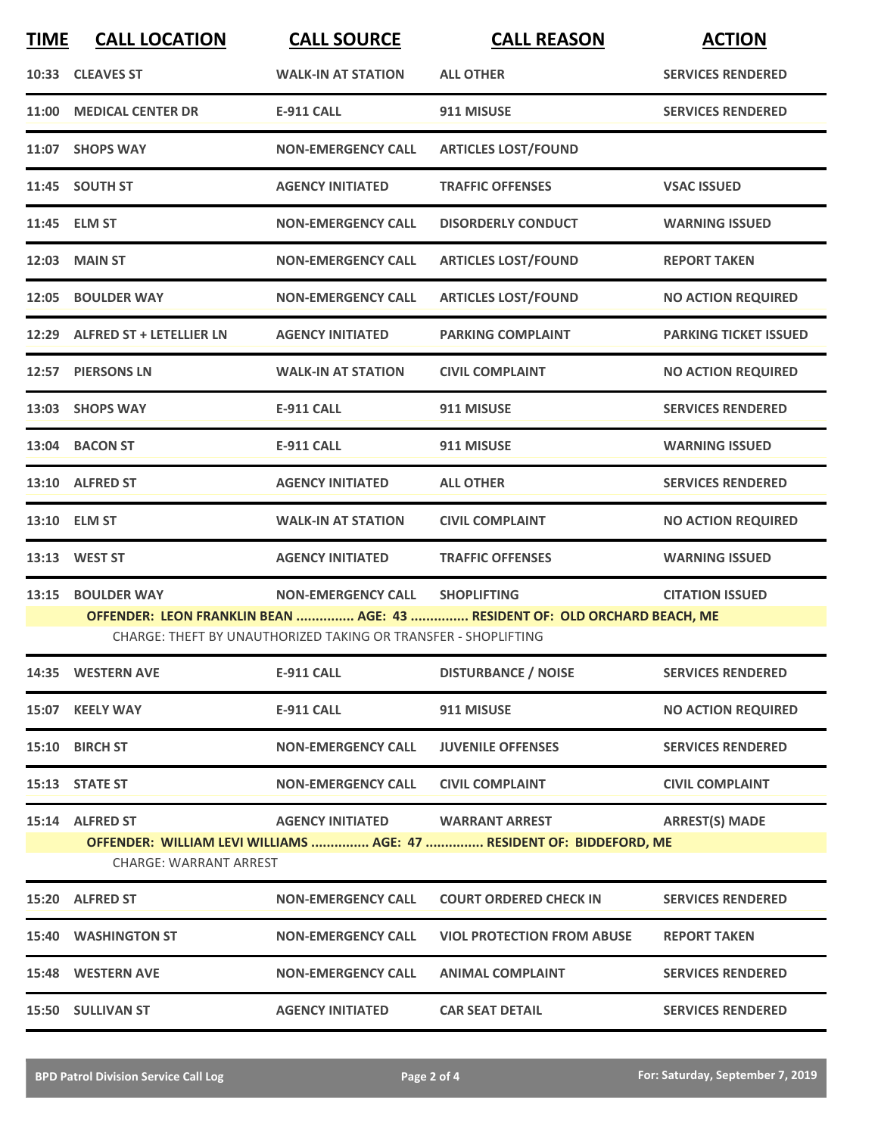| <b>TIME</b> | <b>CALL LOCATION</b>           | <b>CALL SOURCE</b>                                             | <b>CALL REASON</b>                                                                            | <b>ACTION</b>                |
|-------------|--------------------------------|----------------------------------------------------------------|-----------------------------------------------------------------------------------------------|------------------------------|
|             | 10:33 CLEAVES ST               | <b>WALK-IN AT STATION</b>                                      | <b>ALL OTHER</b>                                                                              | <b>SERVICES RENDERED</b>     |
| 11:00       | <b>MEDICAL CENTER DR</b>       | <b>E-911 CALL</b>                                              | 911 MISUSE                                                                                    | <b>SERVICES RENDERED</b>     |
|             | 11:07 SHOPS WAY                | <b>NON-EMERGENCY CALL</b>                                      | <b>ARTICLES LOST/FOUND</b>                                                                    |                              |
|             | 11:45 SOUTH ST                 | <b>AGENCY INITIATED</b>                                        | <b>TRAFFIC OFFENSES</b>                                                                       | <b>VSAC ISSUED</b>           |
|             | 11:45 ELM ST                   | <b>NON-EMERGENCY CALL</b>                                      | <b>DISORDERLY CONDUCT</b>                                                                     | <b>WARNING ISSUED</b>        |
| 12:03       | <b>MAIN ST</b>                 | <b>NON-EMERGENCY CALL</b>                                      | <b>ARTICLES LOST/FOUND</b>                                                                    | <b>REPORT TAKEN</b>          |
| 12:05       | <b>BOULDER WAY</b>             | <b>NON-EMERGENCY CALL</b>                                      | <b>ARTICLES LOST/FOUND</b>                                                                    | <b>NO ACTION REQUIRED</b>    |
|             | 12:29 ALFRED ST + LETELLIER LN | <b>AGENCY INITIATED</b>                                        | <b>PARKING COMPLAINT</b>                                                                      | <b>PARKING TICKET ISSUED</b> |
| 12:57       | <b>PIERSONS LN</b>             | <b>WALK-IN AT STATION</b>                                      | <b>CIVIL COMPLAINT</b>                                                                        | <b>NO ACTION REQUIRED</b>    |
|             | 13:03 SHOPS WAY                | <b>E-911 CALL</b>                                              | 911 MISUSE                                                                                    | <b>SERVICES RENDERED</b>     |
|             | 13:04 BACON ST                 | <b>E-911 CALL</b>                                              | 911 MISUSE                                                                                    | <b>WARNING ISSUED</b>        |
|             | 13:10 ALFRED ST                | <b>AGENCY INITIATED</b>                                        | <b>ALL OTHER</b>                                                                              | <b>SERVICES RENDERED</b>     |
| 13:10       | <b>ELM ST</b>                  | <b>WALK-IN AT STATION</b>                                      | <b>CIVIL COMPLAINT</b>                                                                        | <b>NO ACTION REQUIRED</b>    |
| 13:13       | <b>WEST ST</b>                 | <b>AGENCY INITIATED</b>                                        | <b>TRAFFIC OFFENSES</b>                                                                       | <b>WARNING ISSUED</b>        |
| 13:15       | <b>BOULDER WAY</b>             | <b>NON-EMERGENCY CALL</b>                                      | <b>SHOPLIFTING</b>                                                                            | <b>CITATION ISSUED</b>       |
|             |                                | CHARGE: THEFT BY UNAUTHORIZED TAKING OR TRANSFER - SHOPLIFTING | OFFENDER: LEON FRANKLIN BEAN  AGE: 43  RESIDENT OF: OLD ORCHARD BEACH, ME                     |                              |
|             | 14:35 WESTERN AVE              | <b>E-911 CALL</b>                                              | <b>DISTURBANCE / NOISE</b>                                                                    | <b>SERVICES RENDERED</b>     |
|             | 15:07 KEELY WAY                | <b>E-911 CALL</b>                                              | 911 MISUSE                                                                                    | <b>NO ACTION REQUIRED</b>    |
|             | 15:10 BIRCH ST                 | <b>NON-EMERGENCY CALL</b>                                      | <b>JUVENILE OFFENSES</b>                                                                      | <b>SERVICES RENDERED</b>     |
|             | 15:13 STATE ST                 | <b>NON-EMERGENCY CALL</b>                                      | <b>CIVIL COMPLAINT</b>                                                                        | <b>CIVIL COMPLAINT</b>       |
|             | 15:14 ALFRED ST                | <b>AGENCY INITIATED</b>                                        | <b>WARRANT ARREST</b><br>OFFENDER: WILLIAM LEVI WILLIAMS  AGE: 47  RESIDENT OF: BIDDEFORD, ME | <b>ARREST(S) MADE</b>        |
|             | <b>CHARGE: WARRANT ARREST</b>  |                                                                |                                                                                               |                              |
|             | 15:20 ALFRED ST                | <b>NON-EMERGENCY CALL</b>                                      | <b>COURT ORDERED CHECK IN</b>                                                                 | <b>SERVICES RENDERED</b>     |
|             | <b>15:40 WASHINGTON ST</b>     | <b>NON-EMERGENCY CALL</b>                                      | <b>VIOL PROTECTION FROM ABUSE</b>                                                             | <b>REPORT TAKEN</b>          |
|             | 15:48 WESTERN AVE              | <b>NON-EMERGENCY CALL</b>                                      | <b>ANIMAL COMPLAINT</b>                                                                       | <b>SERVICES RENDERED</b>     |
|             | <b>15:50 SULLIVAN ST</b>       | <b>AGENCY INITIATED</b>                                        | <b>CAR SEAT DETAIL</b>                                                                        | <b>SERVICES RENDERED</b>     |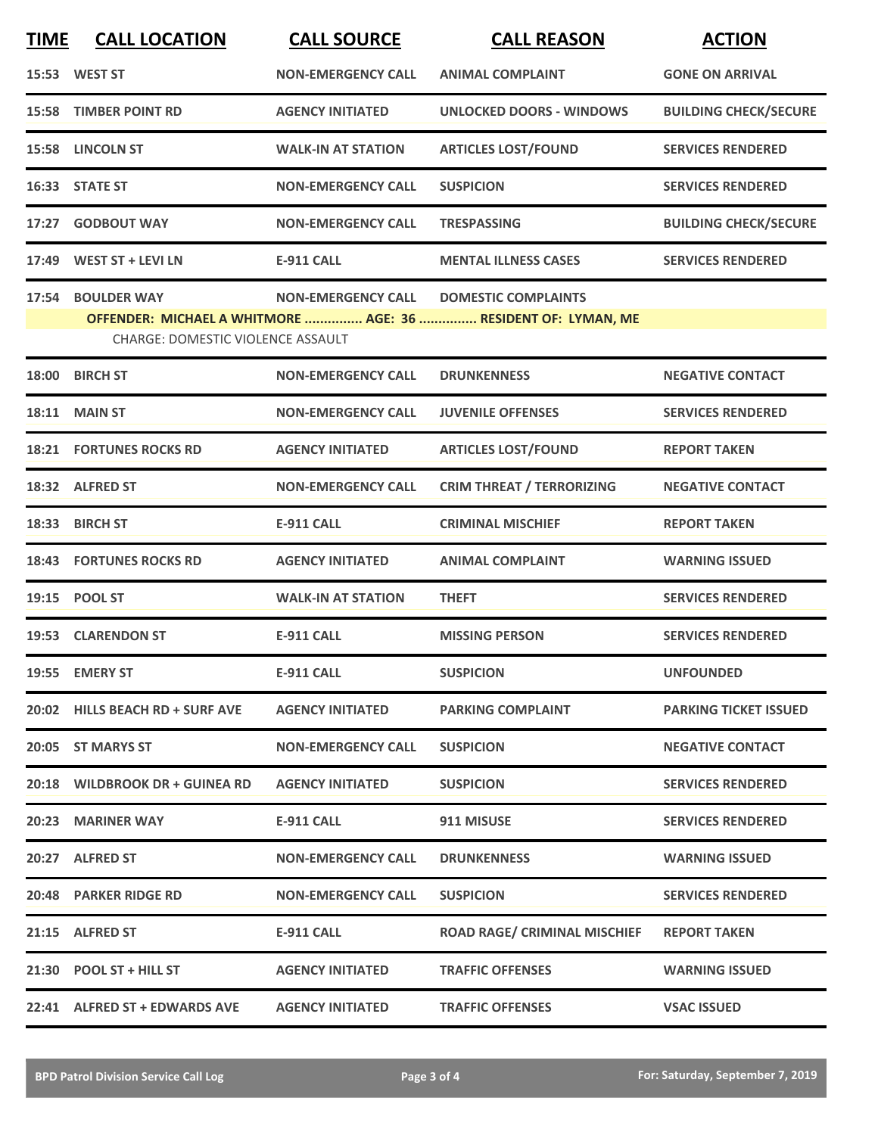| <b>TIME</b> | <b>CALL LOCATION</b>                     | <b>CALL SOURCE</b>        | <b>CALL REASON</b>                                                                          | <b>ACTION</b>                |
|-------------|------------------------------------------|---------------------------|---------------------------------------------------------------------------------------------|------------------------------|
|             | 15:53 WEST ST                            | <b>NON-EMERGENCY CALL</b> | <b>ANIMAL COMPLAINT</b>                                                                     | <b>GONE ON ARRIVAL</b>       |
|             | <b>15:58 TIMBER POINT RD</b>             | <b>AGENCY INITIATED</b>   | <b>UNLOCKED DOORS - WINDOWS</b>                                                             | <b>BUILDING CHECK/SECURE</b> |
|             | 15:58 LINCOLN ST                         | <b>WALK-IN AT STATION</b> | <b>ARTICLES LOST/FOUND</b>                                                                  | <b>SERVICES RENDERED</b>     |
|             | 16:33 STATE ST                           | <b>NON-EMERGENCY CALL</b> | <b>SUSPICION</b>                                                                            | <b>SERVICES RENDERED</b>     |
| 17:27       | <b>GODBOUT WAY</b>                       | <b>NON-EMERGENCY CALL</b> | <b>TRESPASSING</b>                                                                          | <b>BUILDING CHECK/SECURE</b> |
|             | 17:49 WEST ST + LEVI LN                  | <b>E-911 CALL</b>         | <b>MENTAL ILLNESS CASES</b>                                                                 | <b>SERVICES RENDERED</b>     |
|             | 17:54 BOULDER WAY                        | <b>NON-EMERGENCY CALL</b> | <b>DOMESTIC COMPLAINTS</b><br>OFFENDER: MICHAEL A WHITMORE  AGE: 36  RESIDENT OF: LYMAN, ME |                              |
|             | <b>CHARGE: DOMESTIC VIOLENCE ASSAULT</b> |                           |                                                                                             |                              |
| 18:00       | <b>BIRCH ST</b>                          | <b>NON-EMERGENCY CALL</b> | <b>DRUNKENNESS</b>                                                                          | <b>NEGATIVE CONTACT</b>      |
|             | <b>18:11 MAIN ST</b>                     | <b>NON-EMERGENCY CALL</b> | <b>JUVENILE OFFENSES</b>                                                                    | <b>SERVICES RENDERED</b>     |
|             | <b>18:21 FORTUNES ROCKS RD</b>           | <b>AGENCY INITIATED</b>   | <b>ARTICLES LOST/FOUND</b>                                                                  | <b>REPORT TAKEN</b>          |
|             | 18:32 ALFRED ST                          | <b>NON-EMERGENCY CALL</b> | <b>CRIM THREAT / TERRORIZING</b>                                                            | <b>NEGATIVE CONTACT</b>      |
| 18:33       | <b>BIRCH ST</b>                          | <b>E-911 CALL</b>         | <b>CRIMINAL MISCHIEF</b>                                                                    | <b>REPORT TAKEN</b>          |
|             | 18:43 FORTUNES ROCKS RD                  | <b>AGENCY INITIATED</b>   | <b>ANIMAL COMPLAINT</b>                                                                     | <b>WARNING ISSUED</b>        |
|             | 19:15 POOL ST                            | <b>WALK-IN AT STATION</b> | <b>THEFT</b>                                                                                | <b>SERVICES RENDERED</b>     |
|             | 19:53 CLARENDON ST                       | <b>E-911 CALL</b>         | <b>MISSING PERSON</b>                                                                       | <b>SERVICES RENDERED</b>     |
|             | 19:55 EMERY ST                           | <b>E-911 CALL</b>         | <b>SUSPICION</b>                                                                            | <b>UNFOUNDED</b>             |
|             | 20:02 HILLS BEACH RD + SURF AVE          | <b>AGENCY INITIATED</b>   | <b>PARKING COMPLAINT</b>                                                                    | <b>PARKING TICKET ISSUED</b> |
|             | 20:05 ST MARYS ST                        | <b>NON-EMERGENCY CALL</b> | <b>SUSPICION</b>                                                                            | <b>NEGATIVE CONTACT</b>      |
|             | 20:18 WILDBROOK DR + GUINEA RD           | <b>AGENCY INITIATED</b>   | <b>SUSPICION</b>                                                                            | <b>SERVICES RENDERED</b>     |
|             | 20:23 MARINER WAY                        | <b>E-911 CALL</b>         | 911 MISUSE                                                                                  | <b>SERVICES RENDERED</b>     |
|             | 20:27 ALFRED ST                          | <b>NON-EMERGENCY CALL</b> | <b>DRUNKENNESS</b>                                                                          | <b>WARNING ISSUED</b>        |
|             | 20:48 PARKER RIDGE RD                    | <b>NON-EMERGENCY CALL</b> | <b>SUSPICION</b>                                                                            | <b>SERVICES RENDERED</b>     |
|             | 21:15 ALFRED ST                          | <b>E-911 CALL</b>         | <b>ROAD RAGE/ CRIMINAL MISCHIEF</b>                                                         | <b>REPORT TAKEN</b>          |
|             | 21:30 POOL ST + HILL ST                  | <b>AGENCY INITIATED</b>   | <b>TRAFFIC OFFENSES</b>                                                                     | <b>WARNING ISSUED</b>        |
|             | 22:41 ALFRED ST + EDWARDS AVE            | <b>AGENCY INITIATED</b>   | <b>TRAFFIC OFFENSES</b>                                                                     | <b>VSAC ISSUED</b>           |